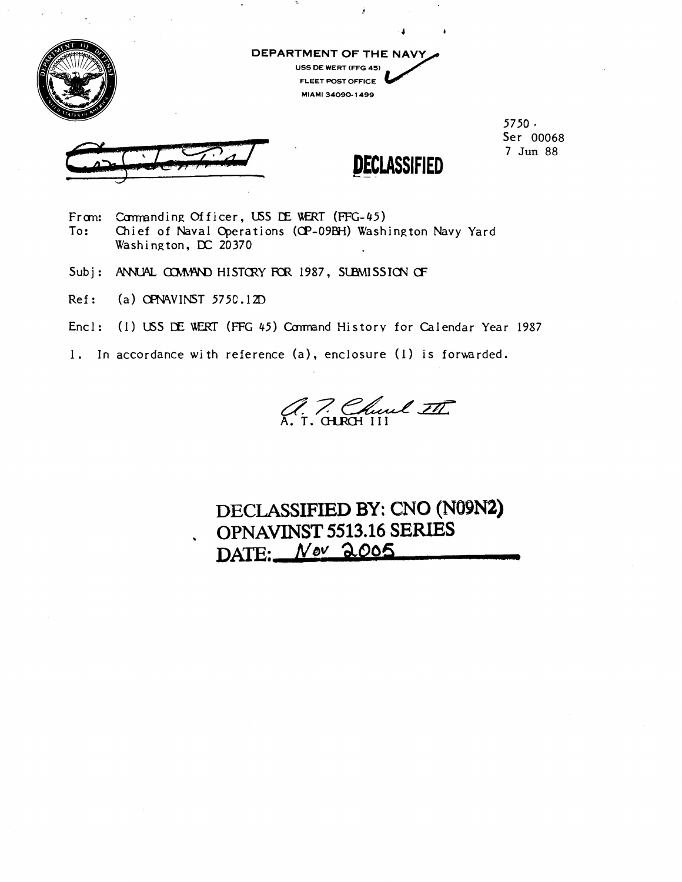

**DEPARTMENT OF THE NAVY USS DE WERT (FFG 45) FLEET POST OFFICE MIAMI 31090- 1499** 

j



**5750** \* **Ser 00068 7 Jun** 88



- From: Commanding Officer, USS DE WERT (FFG-45)<br>To: Chief of Naval Operations (QP-09BH) Wash **To: Chief of Naval Qerations (CP-098H) Washington Navy Yard Washington, DC 20370**
- Subj: ANNUAL COMMAND HISTORY FOR 1987, SUBMISSION OF
- **Ref: (a) SPAVINST 575C.12D**
- **Encl: (1) USS** CE: UIERT (FFG **45) Cumnand Historv for Calendar Year 1987**
- 1. In accordance with reference (a), enclosure (1) is forwarded.

a. 7. Church III

# **DECLASSIFIED BY:** CNO **(N09N) OPNAVINST 5513.16 SERIES DAm:** *Neu* **a006 J**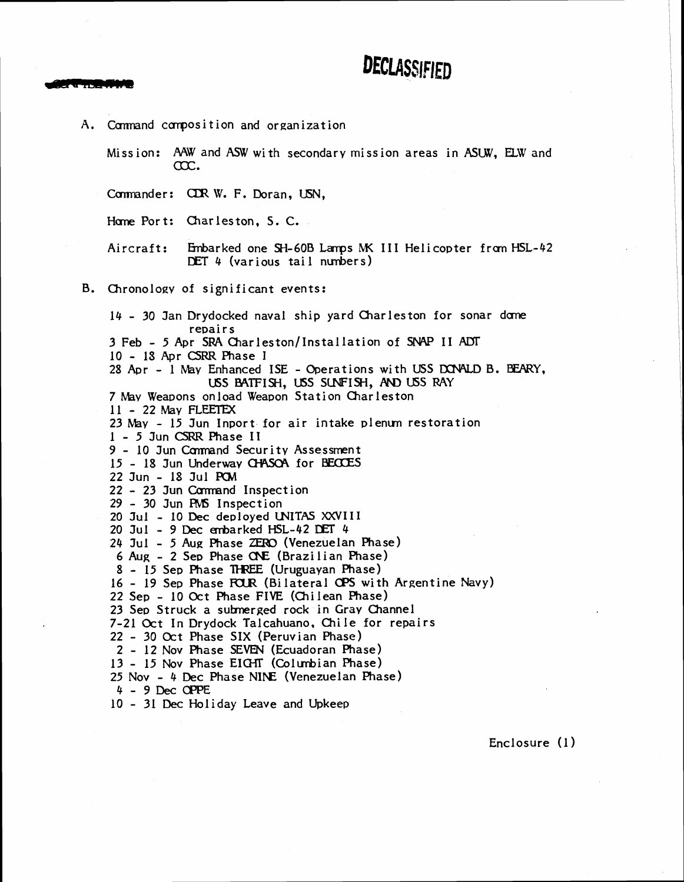

A. Command composition and organization Miss ion: AAW and **ASW** with secondary miss ion areas in **ASW,** E3.W and ax. Commander: CDR W. F. Doran, USN. Home Port: Charleston, S.C. Aircraft: Embarked one SH-60B Lamps MK III Helicopter from HSL-42 DET 4 (various tail numbers) B. Chronology of significant events: 14 - 30 Jan Drydocked naval ship yard Charleston for sonar dome repairs 3 Feb - 5 Apr SRA Charleston/Installation of SNAP II ADT 10 - 1S Apr CSRR Phase I 28 **Apr** - 1 May Enhanced ISE - Operations with USS DCNALD B. WRY, USS BATFISH, USS SUNFISH, AND USS RAY 7 May Weapons on load Weapon Station Charleston 11 - 22 May FLEETEX  $23$  May - 15 Jun Inport for air intake plenum restoration 1 - 5 Jun CSRR Phase II 9 - 10 Jun Command Security Assessment 15 - 18 Jun Underway CHASCA for BECCES 22 Jun - 18 Jul **PCM**  <sup>22</sup>- 23 Jun Camand Inspect ion 29 - 30 Jun **AMS** Inspection 20 Jul - 10 **Dec** deployed WITAS XXVIII 20 Jul - 9 Dec embarked HSL-42 DET 4  $24$  Jul - 5 Aug Phase ZERO (Venezuelan Phase) 6 Aug - 2 Sep Phase CNE (Brazilian Phase) 8 - 15 Sep Phase THREE (Uruguayan Phase) 16 - 19 Sep Phase FOUR (Bilateral OPS with Argentine Navy) 22 Sep - 10 Oct Phase FIVE (Chi lean Phase) 23 Sep Struck a subnerged rock in Gray Channel 7-21 Oct In Drydock Talcahuano, Chile for repairs 22 - 30 Oct Phase SIX (Peruvian Phase) 2 - 12 Nov Phase SEWN (Ecuadoran Phase) 13 - 15 Nov Phase EIGHT (Columbian Phase) 25 Nov - 4 **Dec** Phase **N1bE** (Venezuelan Phase)  $4 - 9$  Dec OPPE 10 - 31 Dec Holiday Leave and Upkeep

Enclosure (1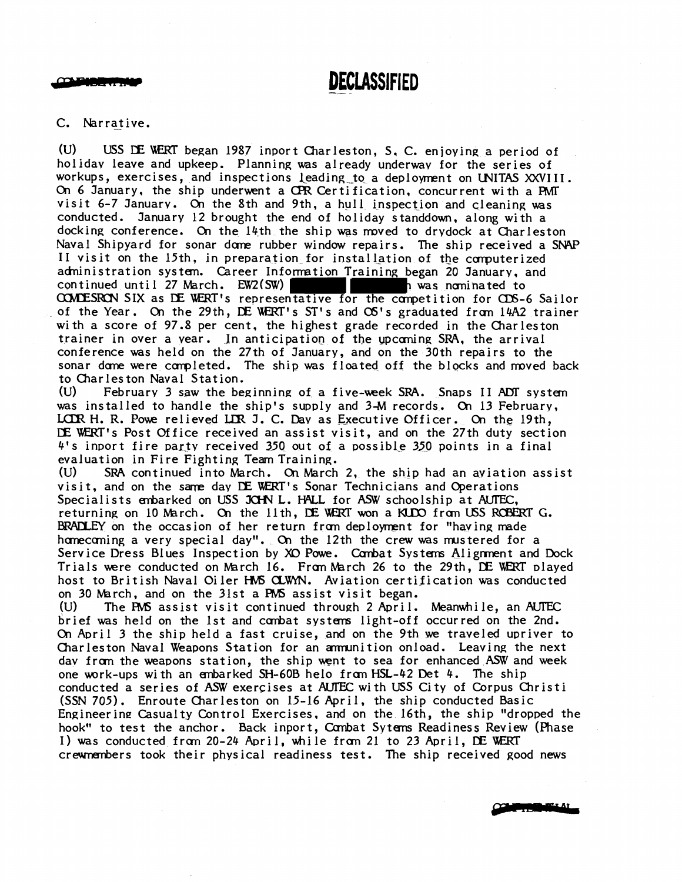البداليون والمتحا

C. Narrative.

(U) USS DE WERT began 1987 inport Charleston, S.C. enjoying a period of holiday leave and upkeep. Planning was already underwav for the series of workups, exercises, and inspections leading to a deployment on UNITAS XXVIII. On 6 January, the ship underwent a CPR Certification, concurrent with a PMT visit  $6-7$  January. On the 8th and 9th, a hull inspection and cleaning was conducted. January 12 brought the end of holiday standdown, along with a docking conference. On the 14th the ship was moved to drydock at Charleston Naval Shipyard for sonar dome rubber window repairs. The ship received a SNAP II visit on the 15th, in preparation for installation of the computerized administration system. Career Information Training began 20 January, and continued until 27 March. **EW2(SW) was nominated to** COMDESRON SIX as DE WERT's representative for the competition for CDS-6 Sailor of the Year. On the 29th, DE WERT's ST's and OS's graduated from 14A2 trainer with a score of 97.8 per cent, the highest grade recorded in the Charleston trainer in over a year. In anticipation of the upcoming SRA, the arrival conference was held on the 27th of January, and on the 30th repairs to the sonar dome were completed. The ship was floated off the blocks and moved back to Charleston Naval Station. (U) February 3 saw the beginning of a five-week SRA. Snaps II ADT system

was installed to handle the ship's supply and 3-M records. On 13 Februarv, LCLR H. R. Powe relieved LLR J. C. Day as Executive Officer. On the 19th, **CE** \kERT1s Post Office received an assist visit, and on the 27th duty section 4's inport fire party received 350 out of a possible 350 points in a final evaluation in Fire Fighting Team Training.

**(U)** SRA continued into March. **Cn** March 2, the ship had an aviation assist visit, and on the same day DE WERT's Sonar Technicians and Operations Specialists enbarked on USS JCHN L. HALL for ASW schoolship at AUTEC, returning on 10 March. On the 11th, DE WERT won a KUDO from USS ROBERT G. BRADLEY on the occasion of her return from deployment for "having made homecoming a very special day". On the 12th the crew was mustered for a Service Dress Blues Inspection by XO Powe. Canbat Systems Alignment and Dock Trials were conducted on March 16. From March 26 to the 29th, DE WERT played host to British Naval Oiler HMS CLWYN. Aviation certification was conducted on 30 March, and on the 31st a PMS assist visit began.<br>(U) The PMS assist visit continued through 2 April.

The PMS assist visit continued through 2 April. Meanwhile, an AUTEC brief was held on the 1st and combat systems light-off occurred on the 2nd. On April 3 the ship held a fast cruise, and on the 9th we traveled upriver to Charleston Naval Weapons Station for an armunition onload. Leaving the next day from the weapons station, the ship went to sea for enhanced ASW and week one wrk-ups with an embarked SH-60B helo franHSL-42 Det 4. The ship conducted a series of ASW exercises at AUTEC with USS City of Corpus Christi (SSN 705). Enroute Charleston on 15-16 April, the ship conducted Basic Engineering Casualty Control Exercises, and on the 16th, the ship "dropped the hook" to test the anchor. Back inport, Cambat Sytems Readiness Review (Phase I) was conducted from 20-24 April, while from 21 to 23 April, DE WERT crewnembers took their physical readiness test. The ship received good news

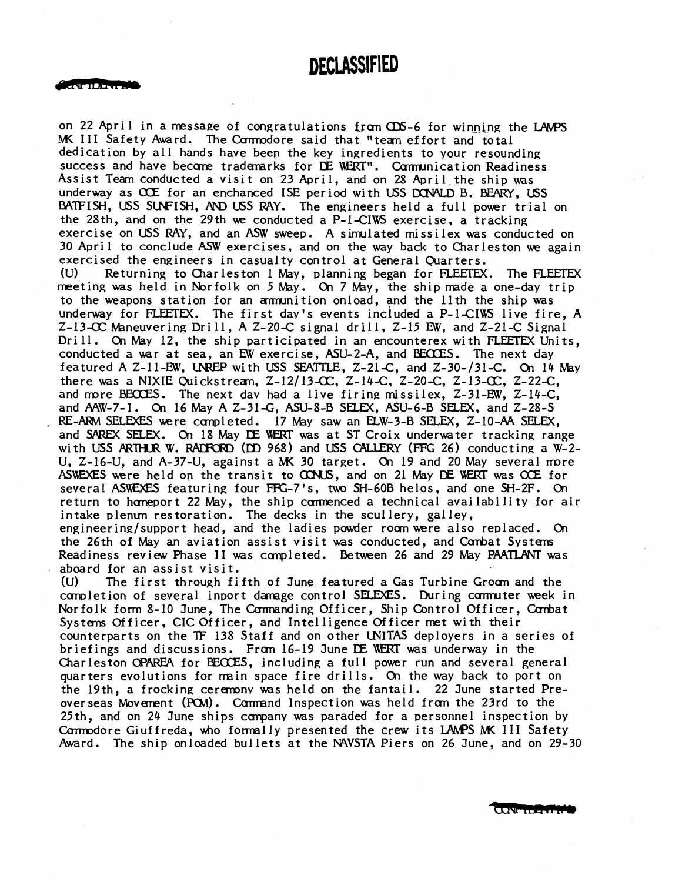#### **DECIASSIFID**

on 22 April in a message of congratulations from CDS-6 for winning the LAMPS MK III Safety Award. The Commodore said that "team effort and total dedication by all hands have beep the key ingredients to your resounding success and have become trademarks for DE WERT". Communication Readiness Assist Team conducted a visit on 23 Aaril, and on 28 April-the ship was underway as OCE for an enchanced ISE period with USS DONALD B. BEARY, USS BATFISH, USS SUNFISH, AND USS RAY. The engineers held a full power trial on the 28th, and on the 29th we conducted a P-1-CIWS exercise, a tracking exercise on USS RAY, and an **ASW** sweep. A simulated missilex was conducted on 30 April to conclude ASW exercises, and on the way back to Charleston **we** again exercised the engineers in casualty control at General Quarters. (U) Returning to Charleston 1 May, planning began for FLEETEX. The FLEEEX meeting was held in Norfolk on 5 May. On 7 May, the ship made a one-day trip to the weapons station for an annunition onload, and the 11th the ship was underway for FLEETEX. The first day's events included a  $P-1-CIWS$  live fire, A Z-13Chkneuverin~ Drill, A Z-20-C signal drill, 2-15 **E'W,** and Z-21-C Signal Drill. On May 12, the ship participated in an encounterex with FLEETEX Units, conducted a war at sea, an EW exercise, ASU-2-A, and BECOES. The next day featured A Z-11-E'W, *UWEP* with USS SEATTLE, Z-21-C, and Z-30-131-C. **01** 14 May there was a NIXIE Quickstream,  $Z-12/13-CC$ ,  $Z-14-C$ ,  $Z-20-C$ ,  $Z-13-CC$ ,  $Z-22-C$ , and more BEOCES. The next day had a live firing missilex, Z-31-EW, Z-14-C,<br>and AAW-7-I. On 16 May A Z-31-G, ASU-8-B SELEX, ASU-6-B SELEX, and Z-28-S RE-ARM SELEXES were completed. 17 May saw an ELW-3-B SELEX, Z-10-AA SELEX, and SAREX SELEX. On 18 May DE WERT was at ST Croix underwater tracking range with USS ARTHUR W. RADFORD (DD 968) and USS CALLERY (FFG 26) conducting a W-2-U, Z-16-U, and A-37-U, against a **M(** 30 target. On 19 and 20 May several more ASUEXES were held on the transit to UXJS, and on 21 May **CE** WRT was *OCE* for several ASWEXES featuring four FFG-7's, two SH-60B helos, and one SH-2F. On return to homeport 22 May, the ship commenced a technical availability for air intake plenum restoration. The decks in the scullery, galley, engineering/support head, and the ladies powder room were also replaced. On the 26th of May an aviation assist visit was conducted, and Combat Systems Readiness review Phase II was completed. Between 26 and 29 May PAATLANT was aboard for an assist visit.

(u) The first through fifth of June featured a Gas Turbine Groan and the completion of several inport damage control SELEXES. During commuter week in Norfolk form 8-10 June, The Commanding Officer, Ship Control Officer, Combat Systems Officer, CIC Officer, and Intel ligence Officer met with their counterparts on the TF 138 Staff and on other LNITAS deployers in a series of briefings and discussions. Fran 16-19 June **UZ** ERI was underway in the Charleston **CPAREA** for **BECCES**, including a full power run and several general quarters evolutions for main space fire drills. On the way back to port on the 19th, a frocking cermny was held on the fantail. 22 June started Preoverseas Movement (PCM). Command Inspection was held from the 23rd to the 25th, and on 24 June ships ccmpany was paraded for a personnel inspection by Cormodore Giuffreda, who formally presented the crew its LAMPS MK III Safety Award. The ship onloaded bullets at the WVSTA Piers on 26 June, and on 29-30

CONTIDENTIA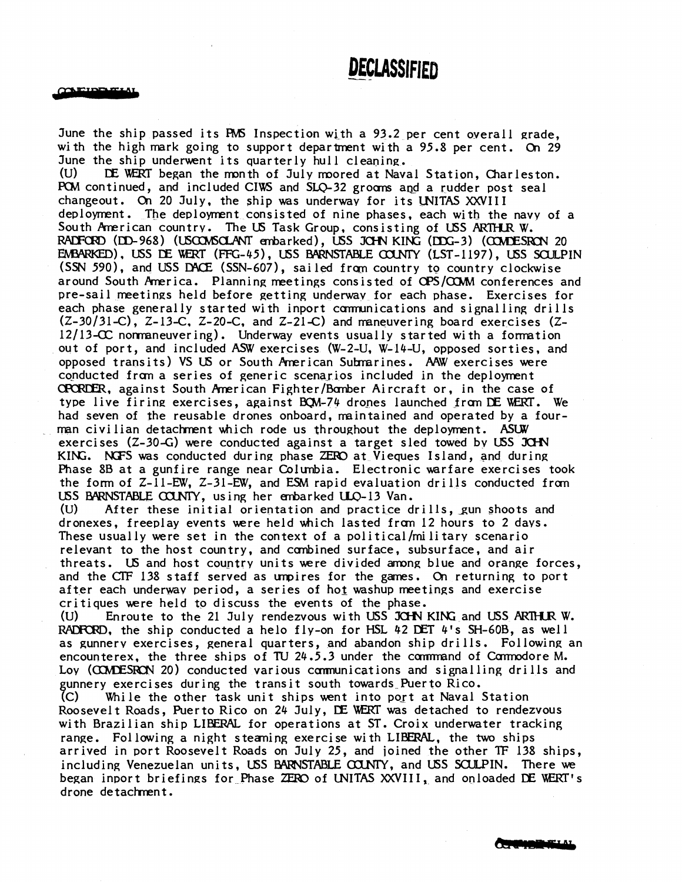**CAEIDELELA** 

June the ship passed its Inspection with a 93.2 per cent overall grade, with the high mark going to support department with a 95.8 per cent. On 29 June the ship underwent its quarterly hull cleaning.<br>(U) DE WERT began the month of July moored at Nav (U) **CE** WRT began the month of July rmored at Naval Station, Charleston. PCM continued, and included CIWS and SLQ-32 grooms and a rudder post seal changeout. On 20 July, the ship was underwav for its LNITAS XXVIlI deployment. The deployment consisted of nine phases, each with the navy of a South Pmerican country. The US Task Group, consisting of USS **ARlHR** W. RADFORD (DD-968) (USCONSCLANT embarked), USS JCHN KING (DDG-3) (COMDESRON 20 EMBARKED), USS DE WERT (FFG-45), USS BARNSTABLE COUNTY (LST-1197), USS SOULPIN (SSN 590), and USS DACE (SSN-607), sailed from country to country clockwise around South America. Planning meetings consisted of OPS/COMM conferences and pre-sail meetings held before getting underwav for each phase. Exercises for each phase generally started with inport communications and signalling drills (2-30131 **-C)** , 2- 13-C, 2-20-C, and 2-21 **-C)** and maneuvering board exercises (Z-12/13-C normaneuvering). Underway events usually started with a formation out of port, and included **ASW** exercises (W-2-U, W-14-U, opposed sorties, and opposed transits) VS US or South American Submarines. AAW exercises were conducted from a series of generic scenarios included in the deployment CPCRDER, against South American Fighter/Bamber Aircraft or, in the case of type live firing exercises, against BQM-74 drones launched from DE WERT. We had seven of the reusable drones onboard, maintained and operated by a fourman civilian detachment which rode us throughout the deployment. ASUW exercises  $(Z-30-G)$  were conducted against a target sled towed by USS JCHN KING. NGFS was conducted during phase ZERO at Vieques Island, and during Phase 8B at a gunfire range near Colunbia. Electronic warfare exercises took the form of  $Z$ -11-EW,  $Z$ -31-EW, and ESM rapid evaluation drills conducted from USS BARNSTABLE COUNTY, using her embarked ULO-13 Van. (U) After these initial orientation and practice drills, gun shoots and dronexes, freeplay events were held which lasted fran 12 hours to 2 days. These usually were set in the context of a political/military scenario relevant to the host country, and canbined surface, subsurface, and air threats. US and host country units were divided among blue and orange forces, and the CTF 138 staff served as umpires for the games. On returning to port after each underway period, a series of hot washup meetings and exercise critiques were held to discuss the events of the phase. (U) Enroute to the 21 July rendezvous with USS JOHN KING and USS ARTHUR W. RADFORD, the ship conducted a helo fly-on for HSL  $42$  DET  $4'$ s SH-60B, as well as gunnerv exercises, general quarters, and abandon ship drills. Following an encounterex, the three ships of TU 24.5.3 under the command of Commodore M. Loy (COMDESRON 20) conducted various communications and signalling drills and unnery exercises during the transit south towards Puerto Rico. (C) While the other task unit ships went into port at Naval Station Roosevelt Roads, Puerto Rico on 24 July, **IE** WRT was detached to rendezvous with Brazilian ship **LIBERAt** for operations at ST. Croix underwater tracking range. Fol lowing a night s teanipg exercise with LIBFRAL, the two ships arrived in port Roosevelt Roads on July 25, and joined the other **TF** 138 ships, including Venezuelan units, USS BARNSTABLE COUNTY, and USS SOULPIN. There we began inport briefings for Phase ZERO of UNITAS XXVIII, and onloaded DE WERT's drone detachment.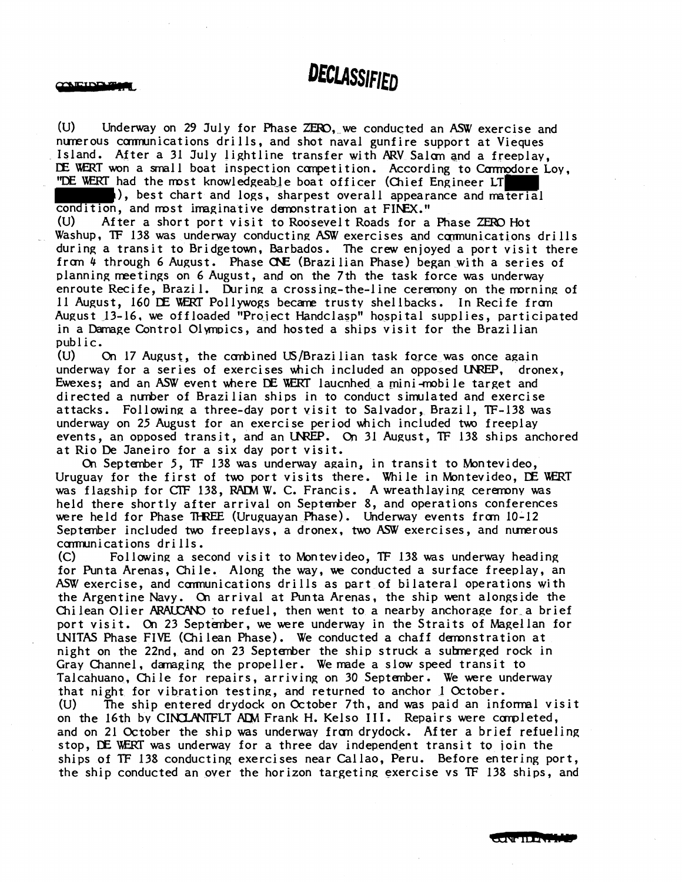**AEINBERG** 

(U) Underway on 29 July for Phase ZERO, we conducted an ASW exercise and nunerous cmnications drills, and shot naval gunfire support at Vieques Island. After a 31 July lightline transfer with ARV Salom and a freeplay. **E** WIT won a small boat inspection canpetition. According to Carmodore Loy, "DE WERT had the most knowledgeable boat officer (Chief Engineer LT

), best chart and logs, sharpest overall appearance and material condition, and most imaginative demonstration at FINEX."

(U) After a short port visit to Roosevelt Roads for a Phase ZERO Hot Washup, TF 138 was underway conducting ASW exercises and communications drills during a transit to Bridgetown, Barbados. The crew enjoyed a port visit there f ran 4 through 6 August. Phase **CW** (Brazi lian Phase) began with a series of planning meetings on 6 August, and on the 7th the task force was underway enroute Recife, Brazil. During a crossing-the-line ceremony on the morning of 11 August, 160 DE WERT Pollywogs became trusty shellbacks. In Recife from August 13-16, we offloaded "Proiect Handclasp" hospital supplies, participated in a Damage Control Olympics, and hosted a ships visit for the Brazilian public.

(U) On 17 August, the combined US/Brazi lian task force was once again underway for a series of exercises which included an opposed UNREP, dronex, Ewexes; and an ASW event where DE WERT laucnhed a mini-mobile target and directed a nuher of Brazilian ships in to conduct simulated and exercise attacks. Following a three-day port visit to Salvador, Brazil, TF-138 was underway on 25 August for an exercise period which included two freeplay events, an opposed transit, and an UNREP. On 31 August, TF 138 ships anchored at Rio **De** Janeiro for a six day port visit.

On September 5, **TF** 138 was underway again, in transit to Montevideo, Uruguay for the first of two port visits there. While in Montevideo, DE WERT was flagship for CTF 138, RADM W. C. Francis. A wreathlaying ceremony was held there shortly after arrival on September 8, and operations conferences were held for Phase THREE (Uruguayan Phase). Underway events from 10-12 September included two freeplays, a dronex, two ASW exercises, and numerous communications drills.<br>(C) Following a se

(C) Following a second visit to Montevideo, **TF** 138 was underway heading for Punta Arenas, Chile. Along the way, **ue** conducted a surface freeplay, an ASW exercise, and communications drills as part of bilateral operations with the Argentine Navy. On arrival at Punta Arenas, the ship went alongside the Chilean Olier ARAUCANO to refuel, then went to a nearby anchorage for a brief port visit. On 23 September, we were underway in the Straits of Magellan for UNITAS Phase FIVE (Chilean Phase). We conducted a chaff demonstration at night on the 22nd, and on 23 Septenber the ship struck a subnerged rock in Gray Channel, damaging the propeller. We made a slow speed transit to Talcahuano, Chile for repairs, arriving on 30 September. We were underway that night for vibration testing, and returned to anchor 1 October. (U) The ship entered drydock on October 7th, and was paid an informal visit on the 16th by CINCLANTFLT ADM Frank H. Kelso III. Repairs were completed, and on 21 October the ship was underway fran drydock. After a brief refueling stop, DE WERT was underway for a three day independent transit to join the ships of **TF** 138 conducting exercises near Callao, Peru. Before entering port, the ship conducted an over the horizon targeting exercise vs **TF** 138 ships, and